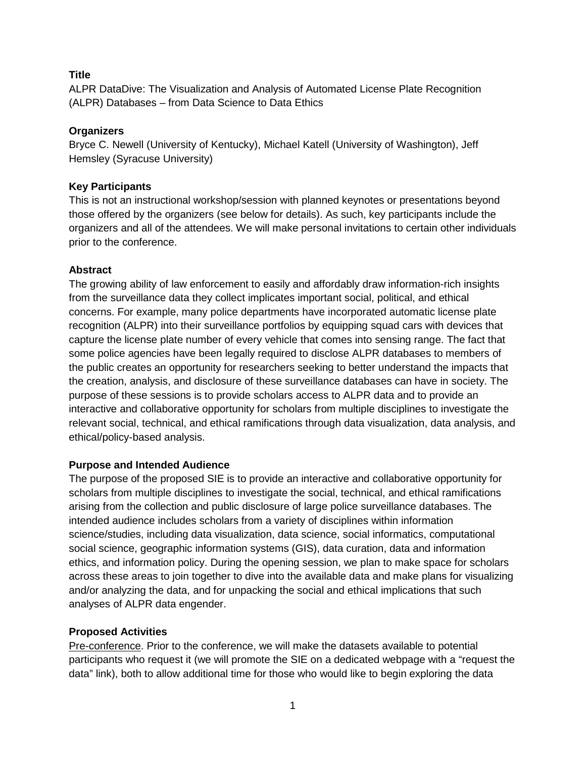## **Title**

ALPR DataDive: The Visualization and Analysis of Automated License Plate Recognition (ALPR) Databases – from Data Science to Data Ethics

## **Organizers**

Bryce C. Newell (University of Kentucky), Michael Katell (University of Washington), Jeff Hemsley (Syracuse University)

## **Key Participants**

This is not an instructional workshop/session with planned keynotes or presentations beyond those offered by the organizers (see below for details). As such, key participants include the organizers and all of the attendees. We will make personal invitations to certain other individuals prior to the conference.

# **Abstract**

The growing ability of law enforcement to easily and affordably draw information-rich insights from the surveillance data they collect implicates important social, political, and ethical concerns. For example, many police departments have incorporated automatic license plate recognition (ALPR) into their surveillance portfolios by equipping squad cars with devices that capture the license plate number of every vehicle that comes into sensing range. The fact that some police agencies have been legally required to disclose ALPR databases to members of the public creates an opportunity for researchers seeking to better understand the impacts that the creation, analysis, and disclosure of these surveillance databases can have in society. The purpose of these sessions is to provide scholars access to ALPR data and to provide an interactive and collaborative opportunity for scholars from multiple disciplines to investigate the relevant social, technical, and ethical ramifications through data visualization, data analysis, and ethical/policy-based analysis.

## **Purpose and Intended Audience**

The purpose of the proposed SIE is to provide an interactive and collaborative opportunity for scholars from multiple disciplines to investigate the social, technical, and ethical ramifications arising from the collection and public disclosure of large police surveillance databases. The intended audience includes scholars from a variety of disciplines within information science/studies, including data visualization, data science, social informatics, computational social science, geographic information systems (GIS), data curation, data and information ethics, and information policy. During the opening session, we plan to make space for scholars across these areas to join together to dive into the available data and make plans for visualizing and/or analyzing the data, and for unpacking the social and ethical implications that such analyses of ALPR data engender.

## **Proposed Activities**

Pre-conference. Prior to the conference, we will make the datasets available to potential participants who request it (we will promote the SIE on a dedicated webpage with a "request the data" link), both to allow additional time for those who would like to begin exploring the data